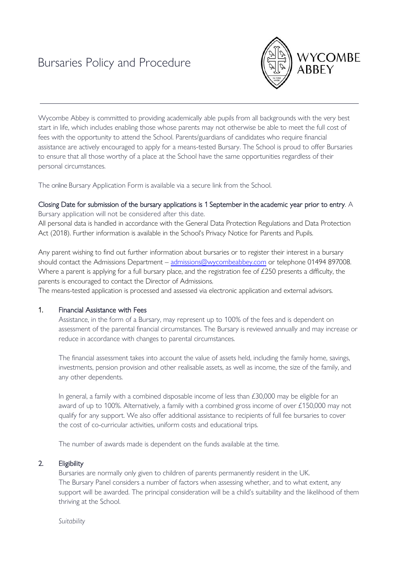# Bursaries Policy and Procedure



Wycombe Abbey is committed to providing academically able pupils from all backgrounds with the very best start in life, which includes enabling those whose parents may not otherwise be able to meet the full cost of fees with the opportunity to attend the School. Parents/guardians of candidates who require financial assistance are actively encouraged to apply for a means-tested Bursary. The School is proud to offer Bursaries to ensure that all those worthy of a place at the School have the same opportunities regardless of their personal circumstances.

The online Bursary Application Form is available via a secure link from the School.

## Closing Date for submission of the bursary applications is 1 September in the academic year prior to entry. A

Bursary application will not be considered after this date. All personal data is handled in accordance with the General Data Protection Regulations and Data Protection Act (2018). Further information is available in the School's Privacy Notice for Parents and Pupils.

Any parent wishing to find out further information about bursaries or to register their interest in a bursary should contact the Admissions Department – [admissions@wycombeabbey.com](mailto:admissions@wycombeabbey.com) or telephone 01494 897008. Where a parent is applying for a full bursary place, and the registration fee of £250 presents a difficulty, the parents is encouraged to contact the Director of Admissions.

The means-tested application is processed and assessed via electronic application and external advisors.

## 1. Financial Assistance with Fees

Assistance, in the form of a Bursary, may represent up to 100% of the fees and is dependent on assessment of the parental financial circumstances. The Bursary is reviewed annually and may increase or reduce in accordance with changes to parental circumstances.

The financial assessment takes into account the value of assets held, including the family home, savings, investments, pension provision and other realisable assets, as well as income, the size of the family, and any other dependents.

In general, a family with a combined disposable income of less than  $£30,000$  may be eligible for an award of up to 100%. Alternatively, a family with a combined gross income of over £150,000 may not qualify for any support. We also offer additional assistance to recipients of full fee bursaries to cover the cost of co-curricular activities, uniform costs and educational trips.

The number of awards made is dependent on the funds available at the time.

## 2. Eligibility

Bursaries are normally only given to children of parents permanently resident in the UK. The Bursary Panel considers a number of factors when assessing whether, and to what extent, any support will be awarded. The principal consideration will be a child's suitability and the likelihood of them thriving at the School.

*Suitability*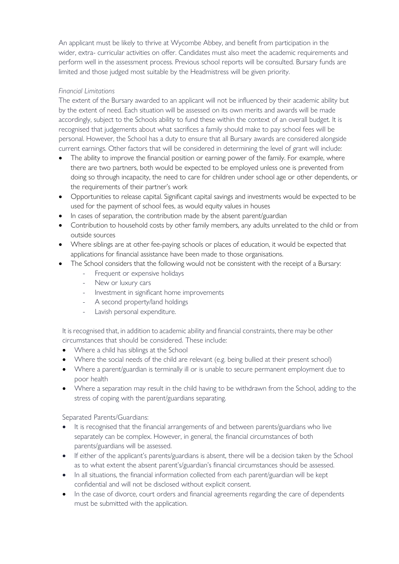An applicant must be likely to thrive at Wycombe Abbey, and benefit from participation in the wider, extra- curricular activities on offer. Candidates must also meet the academic requirements and perform well in the assessment process. Previous school reports will be consulted. Bursary funds are limited and those judged most suitable by the Headmistress will be given priority.

## *Financial Limitations*

The extent of the Bursary awarded to an applicant will not be influenced by their academic ability but by the extent of need. Each situation will be assessed on its own merits and awards will be made accordingly, subject to the Schools ability to fund these within the context of an overall budget. It is recognised that judgements about what sacrifices a family should make to pay school fees will be personal. However, the School has a duty to ensure that all Bursary awards are considered alongside current earnings. Other factors that will be considered in determining the level of grant will include:

- The ability to improve the financial position or earning power of the family. For example, where there are two partners, both would be expected to be employed unless one is prevented from doing so through incapacity, the need to care for children under school age or other dependents, or the requirements of their partner's work
- Opportunities to release capital. Significant capital savings and investments would be expected to be used for the payment of school fees, as would equity values in houses
- In cases of separation, the contribution made by the absent parent/guardian
- Contribution to household costs by other family members, any adults unrelated to the child or from outside sources
- Where siblings are at other fee-paying schools or places of education, it would be expected that applications for financial assistance have been made to those organisations.
- The School considers that the following would not be consistent with the receipt of a Bursary:
	- Frequent or expensive holidays
	- New or luxury cars
	- Investment in significant home improvements
	- A second property/land holdings
	- Lavish personal expenditure.

It is recognised that, in addition to academic ability and financial constraints, there may be other circumstances that should be considered. These include:

- Where a child has siblings at the School
- Where the social needs of the child are relevant (e.g. being bullied at their present school)
- Where a parent/guardian is terminally ill or is unable to secure permanent employment due to poor health
- Where a separation may result in the child having to be withdrawn from the School, adding to the stress of coping with the parent/guardians separating.

Separated Parents/Guardians:

- It is recognised that the financial arrangements of and between parents/guardians who live separately can be complex. However, in general, the financial circumstances of both parents/guardians will be assessed.
- If either of the applicant's parents/guardians is absent, there will be a decision taken by the School as to what extent the absent parent's/guardian's financial circumstances should be assessed.
- In all situations, the financial information collected from each parent/guardian will be kept confidential and will not be disclosed without explicit consent.
- In the case of divorce, court orders and financial agreements regarding the care of dependents must be submitted with the application.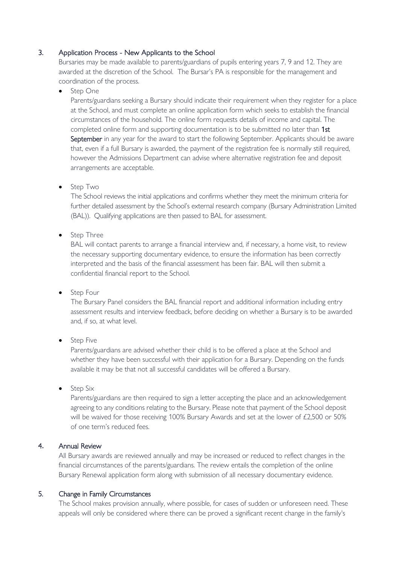## 3. Application Process - New Applicants to the School

Bursaries may be made available to parents/guardians of pupils entering years 7, 9 and 12. They are awarded at the discretion of the School. The Bursar's PA is responsible for the management and coordination of the process.

Step One

Parents/guardians seeking a Bursary should indicate their requirement when they register for a place at the School, and must complete an online application form which seeks to establish the financial circumstances of the household. The online form requests details of income and capital. The completed online form and supporting documentation is to be submitted no later than 1st September in any year for the award to start the following September. Applicants should be aware that, even if a full Bursary is awarded, the payment of the registration fee is normally still required, however the Admissions Department can advise where alternative registration fee and deposit arrangements are acceptable.

• Step Two

The School reviews the initial applications and confirms whether they meet the minimum criteria for further detailed assessment by the School's external research company (Bursary Administration Limited (BAL)). Qualifying applications are then passed to BAL for assessment.

• Step Three

BAL will contact parents to arrange a financial interview and, if necessary, a home visit, to review the necessary supporting documentary evidence, to ensure the information has been correctly interpreted and the basis of the financial assessment has been fair. BAL will then submit a confidential financial report to the School.

• Step Four

The Bursary Panel considers the BAL financial report and additional information including entry assessment results and interview feedback, before deciding on whether a Bursary is to be awarded and, if so, at what level.

• Step Five

Parents/guardians are advised whether their child is to be offered a place at the School and whether they have been successful with their application for a Bursary. Depending on the funds available it may be that not all successful candidates will be offered a Bursary.

• Step Six

Parents/guardians are then required to sign a letter accepting the place and an acknowledgement agreeing to any conditions relating to the Bursary. Please note that payment of the School deposit will be waived for those receiving 100% Bursary Awards and set at the lower of £2,500 or 50% of one term's reduced fees.

## 4**.** Annual Review

All Bursary awards are reviewed annually and may be increased or reduced to reflect changes in the financial circumstances of the parents/guardians. The review entails the completion of the online Bursary Renewal application form along with submission of all necessary documentary evidence.

## 5. Change in Family Circumstances

The School makes provision annually, where possible, for cases of sudden or unforeseen need. These appeals will only be considered where there can be proved a significant recent change in the family's